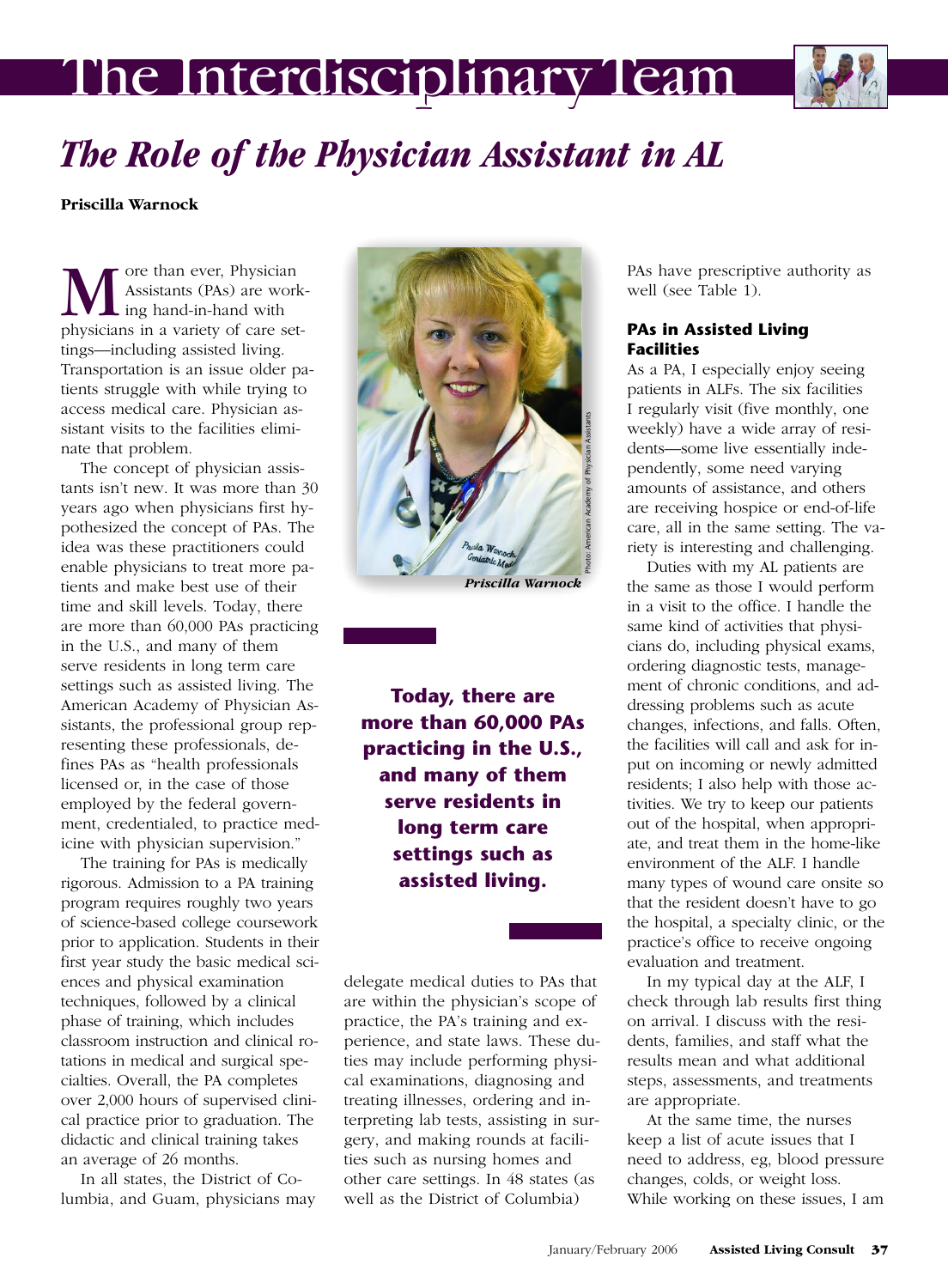# The Interdisciplinary Team



# *The Role of the Physician Assistant in AL*

**Priscilla Warnock**

**M** ore than ever, Physician<br>Assistants (PAs) are work<br>physicians in a variety of care set-Assistants (PAs) are work- $\mathsf{L}$  ing hand-in-hand with tings—including assisted living. Transportation is an issue older patients struggle with while trying to access medical care. Physician assistant visits to the facilities eliminate that problem.

The concept of physician assistants isn't new. It was more than 30 years ago when physicians first hypothesized the concept of PAs. The idea was these practitioners could enable physicians to treat more patients and make best use of their time and skill levels. Today, there are more than 60,000 PAs practicing in the U.S., and many of them serve residents in long term care settings such as assisted living. The American Academy of Physician Assistants, the professional group representing these professionals, defines PAs as "health professionals licensed or, in the case of those employed by the federal government, credentialed, to practice medicine with physician supervision."

The training for PAs is medically rigorous. Admission to a PA training program requires roughly two years of science-based college coursework prior to application. Students in their first year study the basic medical sciences and physical examination techniques, followed by a clinical phase of training, which includes classroom instruction and clinical rotations in medical and surgical specialties. Overall, the PA completes over 2,000 hours of supervised clinical practice prior to graduation. The didactic and clinical training takes an average of 26 months.

In all states, the District of Columbia, and Guam, physicians may



*Priscilla Warnock*

**Today, there are more than 60,000 PAs practicing in the U.S., and many of them serve residents in long term care settings such as assisted living.**

delegate medical duties to PAs that are within the physician's scope of practice, the PA's training and experience, and state laws. These duties may include performing physical examinations, diagnosing and treating illnesses, ordering and interpreting lab tests, assisting in surgery, and making rounds at facilities such as nursing homes and other care settings. In 48 states (as well as the District of Columbia)

PAs have prescriptive authority as well (see Table 1).

#### **PAs in Assisted Living Facilities**

As a PA, I especially enjoy seeing patients in ALFs. The six facilities I regularly visit (five monthly, one weekly) have a wide array of residents—some live essentially independently, some need varying amounts of assistance, and others are receiving hospice or end-of-life care, all in the same setting. The variety is interesting and challenging.

Duties with my AL patients are the same as those I would perform in a visit to the office. I handle the same kind of activities that physicians do, including physical exams, ordering diagnostic tests, management of chronic conditions, and addressing problems such as acute changes, infections, and falls. Often, the facilities will call and ask for input on incoming or newly admitted residents; I also help with those activities. We try to keep our patients out of the hospital, when appropriate, and treat them in the home-like environment of the ALF. I handle many types of wound care onsite so that the resident doesn't have to go the hospital, a specialty clinic, or the practice's office to receive ongoing evaluation and treatment.

In my typical day at the ALF, I check through lab results first thing on arrival. I discuss with the residents, families, and staff what the results mean and what additional steps, assessments, and treatments are appropriate.

At the same time, the nurses keep a list of acute issues that I need to address, eg, blood pressure changes, colds, or weight loss. While working on these issues, I am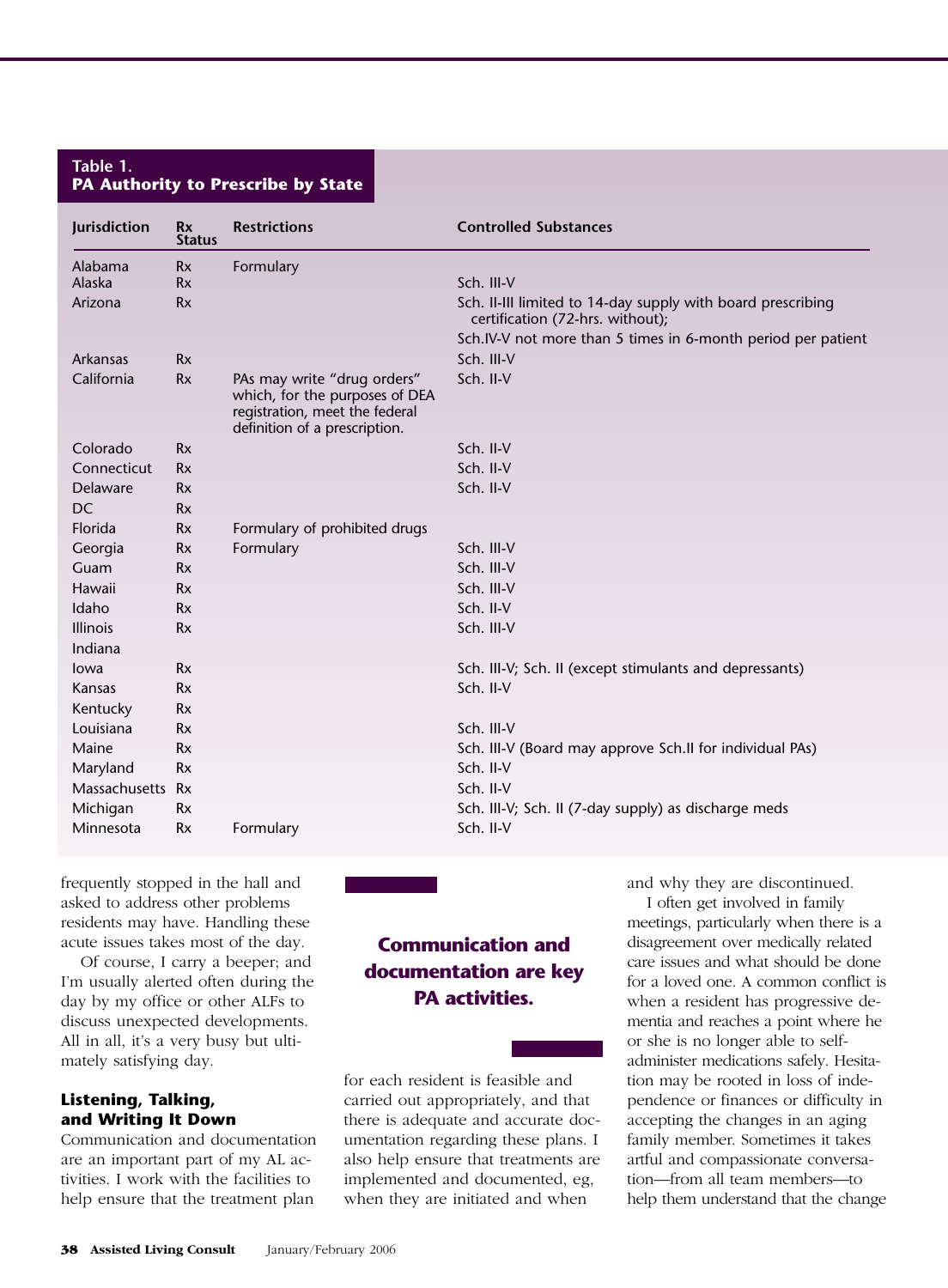#### **Table 1. PA Authority to Prescribe by State**

| Jurisdiction     | <b>Rx</b><br><b>Status</b> | <b>Restrictions</b>                                                                             | <b>Controlled Substances</b>                                                                    |
|------------------|----------------------------|-------------------------------------------------------------------------------------------------|-------------------------------------------------------------------------------------------------|
| Alabama          | <b>Rx</b>                  | Formulary                                                                                       |                                                                                                 |
| Alaska           | <b>Rx</b>                  |                                                                                                 | Sch. III-V                                                                                      |
| Arizona          | <b>Rx</b>                  |                                                                                                 | Sch. II-III limited to 14-day supply with board prescribing<br>certification (72-hrs. without); |
|                  |                            |                                                                                                 | Sch.IV-V not more than 5 times in 6-month period per patient                                    |
| Arkansas         | <b>Rx</b>                  |                                                                                                 | Sch. III-V                                                                                      |
| California       | <b>Rx</b>                  | PAs may write "drug orders"<br>which, for the purposes of DEA<br>registration, meet the federal | Sch. II-V                                                                                       |
|                  |                            | definition of a prescription.                                                                   |                                                                                                 |
| Colorado         | <b>Rx</b>                  |                                                                                                 | Sch. II-V                                                                                       |
| Connecticut      | <b>R</b> x                 |                                                                                                 | Sch. II-V                                                                                       |
| Delaware         | <b>R</b> x                 |                                                                                                 | Sch. II-V                                                                                       |
| <b>DC</b>        | <b>Rx</b>                  |                                                                                                 |                                                                                                 |
| Florida          | <b>Rx</b>                  | Formulary of prohibited drugs                                                                   |                                                                                                 |
| Georgia          | <b>Rx</b>                  | Formulary                                                                                       | Sch. III-V                                                                                      |
| Guam             | <b>Rx</b>                  |                                                                                                 | Sch. III-V                                                                                      |
| Hawaii           | <b>Rx</b>                  |                                                                                                 | Sch. III-V                                                                                      |
| Idaho            | <b>R</b> x                 |                                                                                                 | Sch. II-V                                                                                       |
| <b>Illinois</b>  | <b>Rx</b>                  |                                                                                                 | Sch. III-V                                                                                      |
| Indiana          |                            |                                                                                                 |                                                                                                 |
| lowa             | <b>Rx</b>                  |                                                                                                 | Sch. III-V; Sch. II (except stimulants and depressants)                                         |
| Kansas           | <b>Rx</b>                  |                                                                                                 | Sch. II-V                                                                                       |
| Kentucky         | <b>Rx</b>                  |                                                                                                 |                                                                                                 |
| Louisiana        | <b>R</b> x                 |                                                                                                 | Sch. III-V                                                                                      |
| Maine            | <b>R</b> x                 |                                                                                                 | Sch. III-V (Board may approve Sch.II for individual PAs)                                        |
| Maryland         | <b>R</b> x                 |                                                                                                 | Sch. II-V                                                                                       |
| Massachusetts Rx |                            |                                                                                                 | Sch. II-V                                                                                       |
| Michigan         | <b>R</b> x                 |                                                                                                 | Sch. III-V; Sch. II (7-day supply) as discharge meds                                            |
| Minnesota        | <b>Rx</b>                  | Formulary                                                                                       | Sch. II-V                                                                                       |

frequently stopped in the hall and asked to address other problems residents may have. Handling these acute issues takes most of the day.

Of course, I carry a beeper; and I'm usually alerted often during the day by my office or other ALFs to discuss unexpected developments. All in all, it's a very busy but ultimately satisfying day.

### **Listening, Talking, and Writing It Down**

Communication and documentation are an important part of my AL activities. I work with the facilities to help ensure that the treatment plan

## **Communication and documentation are key PA activities.**

for each resident is feasible and carried out appropriately, and that there is adequate and accurate documentation regarding these plans. I also help ensure that treatments are implemented and documented, eg, when they are initiated and when

and why they are discontinued.

I often get involved in family meetings, particularly when there is a disagreement over medically related care issues and what should be done for a loved one. A common conflict is when a resident has progressive dementia and reaches a point where he or she is no longer able to selfadminister medications safely. Hesitation may be rooted in loss of independence or finances or difficulty in accepting the changes in an aging family member. Sometimes it takes artful and compassionate conversation—from all team members—to help them understand that the change